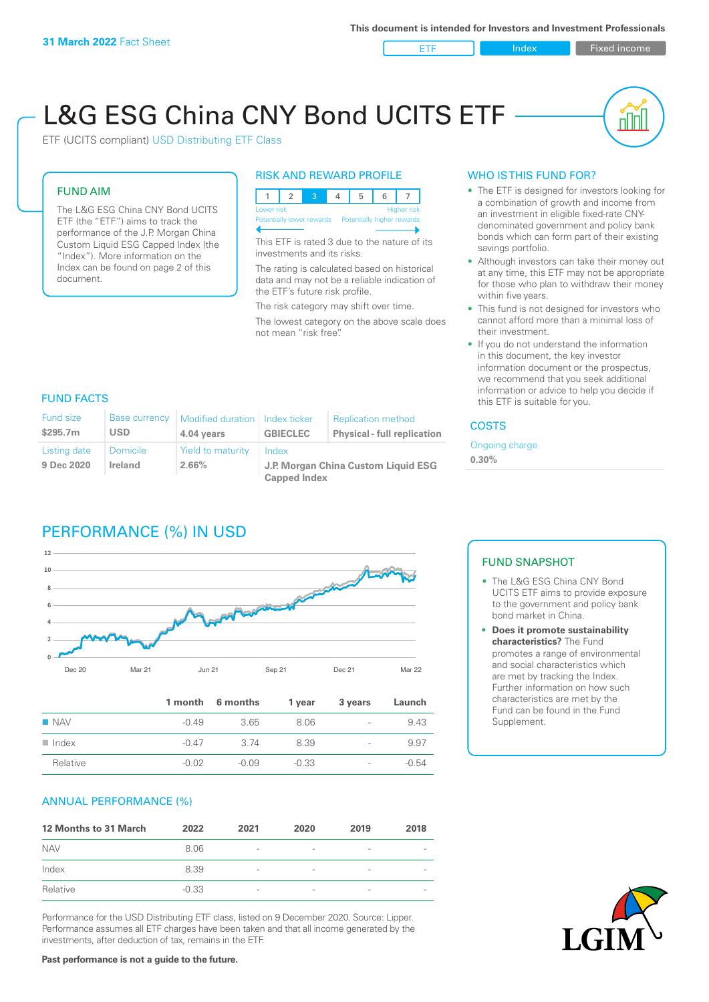ETF Index Fixed income

u ju

# L&G ESG China CNY Bond UCITS ETF

ETF (UCITS compliant) USD Distributing ETF Class

#### FUND AIM

The L&G ESG China CNY Bond UCITS ETF (the "ETF") aims to track the performance of the J.P. Morgan China Custom Liquid ESG Capped Index (the "Index"). More information on the Index can be found on page 2 of this document.

#### RISK AND REWARD PROFILE



This ETF is rated 3 due to the nature of its investments and its risks.

The rating is calculated based on historical data and may not be a reliable indication of the ETF's future risk profile.

The risk category may shift over time. The lowest category on the above scale does not mean "risk free".

#### WHO IS THIS FUND FOR?

- The ETF is designed for investors looking for a combination of growth and income from an investment in eligible fixed-rate CNYdenominated government and policy bank bonds which can form part of their existing savings portfolio.
- Although investors can take their money out at any time, this ETF may not be appropriate for those who plan to withdraw their money within five years.
- This fund is not designed for investors who cannot afford more than a minimal loss of their investment.
- If you do not understand the information in this document, the key investor information document or the prospectus, we recommend that you seek additional information or advice to help you decide if this ETF is suitable for you.

#### FUND FACTS

| <b>Fund size</b><br>\$295.7m | Base currency<br><b>USD</b>       | Modified duration   Index ticker<br>4.04 years | <b>GBIECLEC</b>                              | <b>Replication method</b><br><b>Physical - full replication</b> | <b>COSTS</b> |  |
|------------------------------|-----------------------------------|------------------------------------------------|----------------------------------------------|-----------------------------------------------------------------|--------------|--|
| Listing date<br>9 Dec 2020   | <b>Domicile</b><br><b>Ireland</b> | <b>Yield to maturity</b><br>2.66%              | Index<br>J.P. Morgan China Custom Liquid ESG | Ongoing charge<br>$0.30\%$                                      |              |  |
|                              |                                   |                                                | <b>Capped Index</b>                          |                                                                 |              |  |

# PERFORMANCE (%) IN USD



|                      |         | 1 month 6 months | 1 year  | 3 years                  | Launch  |
|----------------------|---------|------------------|---------|--------------------------|---------|
| $\blacksquare$ NAV   | $-0.49$ | 3.65             | 8.06    | $\overline{\phantom{a}}$ | 9.43    |
| $\blacksquare$ Index | $-0.47$ | 3.74             | 8.39    | $\overline{\phantom{a}}$ | 9.97    |
| Relative             | $-0.02$ | $-0.09$          | $-0.33$ | $\overline{\phantom{a}}$ | $-0.54$ |

#### ANNUAL PERFORMANCE (%)

| 12 Months to 31 March | 2022    | 2021                     | 2020                     | 2019            | 2018 |
|-----------------------|---------|--------------------------|--------------------------|-----------------|------|
| <b>NAV</b>            | 8.06    | $\overline{\phantom{a}}$ |                          | ۰               |      |
| Index                 | 8.39    | $\overline{\phantom{a}}$ | $\overline{\phantom{a}}$ | $\qquad \qquad$ |      |
| Relative              | $-0.33$ | $\overline{\phantom{a}}$ |                          |                 |      |

Performance for the USD Distributing ETF class, listed on 9 December 2020. Source: Lipper. Performance assumes all ETF charges have been taken and that all income generated by the investments, after deduction of tax, remains in the ETF.

#### FUND SNAPSHOT

- The L&G ESG China CNY Bond UCITS ETF aims to provide exposure to the government and policy bank bond market in China.
- **• Does it promote sustainability characteristics?** The Fund promotes a range of environmental and social characteristics which are met by tracking the Index. Further information on how such characteristics are met by the Fund can be found in the Fund Supplement.



**Past performance is not a guide to the future.**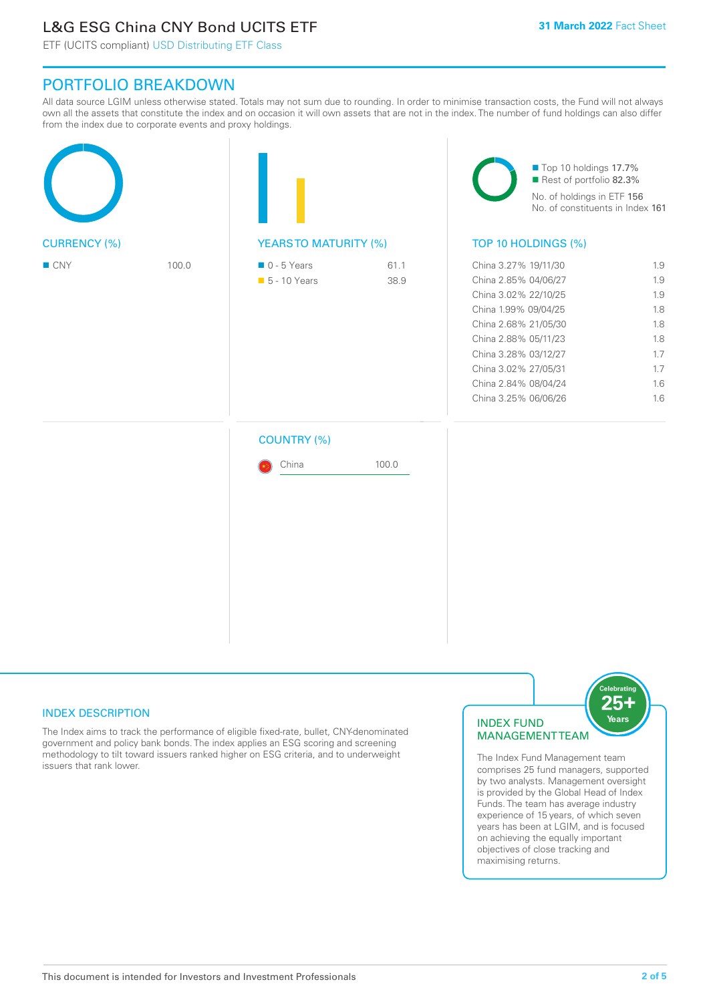# L&G ESG China CNY Bond UCITS ETF

ETF (UCITS compliant) USD Distributing ETF Class

## PORTFOLIO BREAKDOWN

All data source LGIM unless otherwise stated. Totals may not sum due to rounding. In order to minimise transaction costs, the Fund will not always own all the assets that constitute the index and on occasion it will own assets that are not in the index. The number of fund holdings can also differ from the index due to corporate events and proxy holdings.

|                     |       |                                                           |              | Top 10 holdings 17.7%<br>Rest of portfolio 82.3%<br>No. of holdings in ETF 156<br>No. of constituents in Index 161                                                                                                                           |                                                                    |  |
|---------------------|-------|-----------------------------------------------------------|--------------|----------------------------------------------------------------------------------------------------------------------------------------------------------------------------------------------------------------------------------------------|--------------------------------------------------------------------|--|
| <b>CURRENCY (%)</b> |       | <b>YEARSTO MATURITY (%)</b>                               |              | TOP 10 HOLDINGS (%)                                                                                                                                                                                                                          |                                                                    |  |
| $\blacksquare$ CNY  | 100.0 | $\blacksquare$ 0 - 5 Years<br>$\blacksquare$ 5 - 10 Years | 61.1<br>38.9 | China 3.27% 19/11/30<br>China 2.85% 04/06/27<br>China 3.02% 22/10/25<br>China 1.99% 09/04/25<br>China 2.68% 21/05/30<br>China 2.88% 05/11/23<br>China 3.28% 03/12/27<br>China 3.02% 27/05/31<br>China 2.84% 08/04/24<br>China 3.25% 06/06/26 | 1.9<br>1.9<br>1.9<br>1.8<br>1.8<br>1.8<br>1.7<br>1.7<br>1.6<br>1.6 |  |
|                     |       | <b>COUNTRY (%)</b><br>China                               | 100.0        |                                                                                                                                                                                                                                              |                                                                    |  |

#### INDEX DESCRIPTION

The Index aims to track the performance of eligible fixed-rate, bullet, CNY-denominated government and policy bank bonds. The index applies an ESG scoring and screening methodology to tilt toward issuers ranked higher on ESG criteria, and to underweight issuers that rank lower.

#### INDEX FUND MANAGEMENT TEAM



The Index Fund Management team comprises 25 fund managers, supported by two analysts. Management oversight is provided by the Global Head of Index Funds. The team has average industry experience of 15 years, of which seven years has been at LGIM, and is focused on achieving the equally important objectives of close tracking and maximising returns.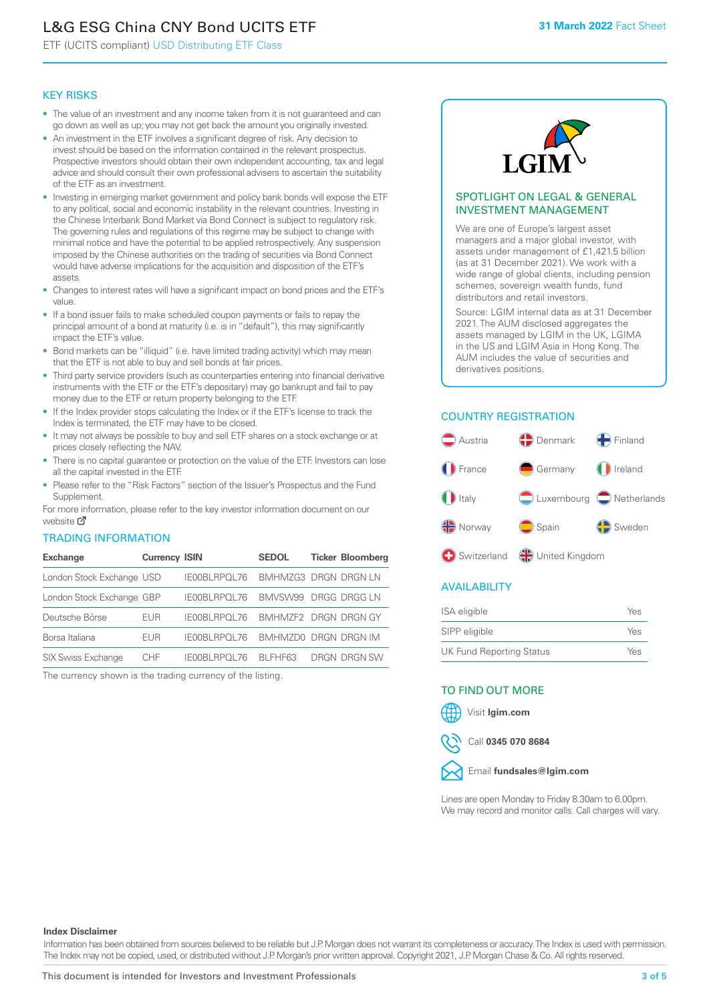# L&G ESG China CNY Bond UCITS ETF

ETF (UCITS compliant) USD Distributing ETF Class

#### KEY RISKS

- The value of an investment and any income taken from it is not guaranteed and can go down as well as up; you may not get back the amount you originally invested.
- An investment in the ETF involves a significant degree of risk. Any decision to invest should be based on the information contained in the relevant prospectus. Prospective investors should obtain their own independent accounting, tax and legal advice and should consult their own professional advisers to ascertain the suitability of the ETF as an investment.
- Investing in emerging market government and policy bank bonds will expose the ETF to any political, social and economic instability in the relevant countries. Investing in the Chinese Interbank Bond Market via Bond Connect is subject to regulatory risk. The governing rules and regulations of this regime may be subject to change with minimal notice and have the potential to be applied retrospectively. Any suspension imposed by the Chinese authorities on the trading of securities via Bond Connect would have adverse implications for the acquisition and disposition of the ETF's assets.
- Changes to interest rates will have a significant impact on bond prices and the ETF's value.
- If a bond issuer fails to make scheduled coupon payments or fails to repay the principal amount of a bond at maturity (i.e. is in "default"), this may significantly impact the ETF's value.
- Bond markets can be "illiquid" (i.e. have limited trading activity) which may mean that the ETF is not able to buy and sell bonds at fair prices.
- Third party service providers (such as counterparties entering into financial derivative instruments with the ETF or the ETF's depositary) may go bankrupt and fail to pay money due to the ETF or return property belonging to the ETF.
- If the Index provider stops calculating the Index or if the ETF's license to track the Index is terminated, the ETF may have to be closed.
- It may not always be possible to buy and sell ETF shares on a stock exchange or at prices closely reflecting the NAV.
- There is no capital guarantee or protection on the value of the ETF. Investors can lose all the capital invested in the ETF.
- Please refer to the "Risk Factors" section of the Issuer's Prospectus and the Fund Supplement.

For mo[re inf](https://www.lgimetf.com/)ormation, please refer to the key investor information document on our website M

#### TRADING INFORMATION

| <b>Exchange</b>           | <b>Currency ISIN</b> |                                   | <b>SEDOL</b>         | <b>Ticker Bloomberg</b> |
|---------------------------|----------------------|-----------------------------------|----------------------|-------------------------|
| London Stock Exchange USD |                      | IE00BLRPOL76                      | BMHMZG3 DRGN DRGN LN |                         |
| London Stock Exchange GBP |                      | IE00BLRPOL76                      | BMVSW99 DRGG DRGG LN |                         |
| Deutsche Börse            | EUR                  | IE00BLRPOL76 BMHMZF2 DRGN DRGN GY |                      |                         |
| Borsa Italiana            | EUR                  | <b>IFOOBL RPOL 76</b>             | BMHMZD0 DRGN DRGN IM |                         |
| <b>SIX Swiss Exchange</b> | CHF.                 | IE00BLRPOL76                      | BI FHF63             | DRGN DRGN SW            |

The currency shown is the trading currency of the listing.



#### SPOTLIGHT ON LEGAL & GENERAL INVESTMENT MANAGEMENT

We are one of Europe's largest asset managers and a major global investor, with assets under management of £1,421.5 billion (as at 31 December 2021). We work with a wide range of global clients, including pension schemes, sovereign wealth funds, fund distributors and retail investors.

Source: LGIM internal data as at 31 December 2021. The AUM disclosed aggregates the assets managed by LGIM in the UK, LGIMA in the US and LGIM Asia in Hong Kong. The AUM includes the value of securities and derivatives positions.

### COUNTRY REGISTRATION



#### AVAILABILITY

| <b>ISA</b> eligible             | Yes |
|---------------------------------|-----|
| SIPP eligible                   | Yes |
| <b>UK Fund Reporting Status</b> | Yes |

#### TO FIND OUT MORE





Call **0345 070 8684**



Lines are open Monday to Friday 8.30am to 6.00pm. We may record and monitor calls. Call charges will vary.

#### **Index Disclaimer**

Information has been obtained from sources believed to be reliable but J.P. Morgan does not warrant its completeness or accuracy. The Index is used with permission. The Index may not be copied, used, or distributed without J.P. Morgan's prior written approval. Copyright 2021, J.P. Morgan Chase & Co. All rights reserved.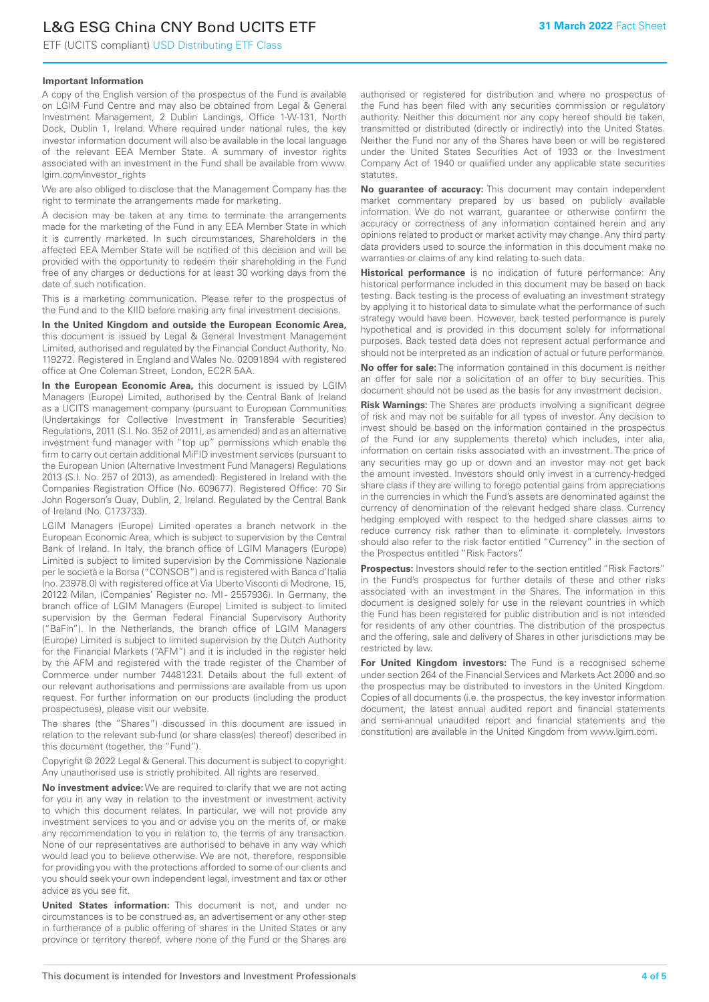# L&G ESG China CNY Bond UCITS ETF

ETF (UCITS compliant) USD Distributing ETF Class

#### **Important Information**

A copy of the English version of the prospectus of the Fund is available on LGIM Fund Centre and may also be obtained from Legal & General Investment Management, 2 Dublin Landings, Office 1-W-131, North Dock, Dublin 1, Ireland. Where required under national rules, the key investor information document will also be available in the local language of the relevant EEA Member State. A summary of investor rights associated with an investment in the Fund shall be available from www. lgim.com/investor\_rights

We are also obliged to disclose that the Management Company has the right to terminate the arrangements made for marketing.

A decision may be taken at any time to terminate the arrangements made for the marketing of the Fund in any EEA Member State in which it is currently marketed. In such circumstances, Shareholders in the affected EEA Member State will be notified of this decision and will be provided with the opportunity to redeem their shareholding in the Fund free of any charges or deductions for at least 30 working days from the date of such notification.

This is a marketing communication. Please refer to the prospectus of the Fund and to the KIID before making any final investment decisions.

**In the United Kingdom and outside the European Economic Area,** this document is issued by Legal & General Investment Management Limited, authorised and regulated by the Financial Conduct Authority, No. 119272. Registered in England and Wales No. 02091894 with registered office at One Coleman Street, London, EC2R 5AA.

**In the European Economic Area,** this document is issued by LGIM Managers (Europe) Limited, authorised by the Central Bank of Ireland as a UCITS management company (pursuant to European Communities (Undertakings for Collective Investment in Transferable Securities) Regulations, 2011 (S.I. No. 352 of 2011), as amended) and as an alternative investment fund manager with "top up" permissions which enable the firm to carry out certain additional MiFID investment services (pursuant to the European Union (Alternative Investment Fund Managers) Regulations 2013 (S.I. No. 257 of 2013), as amended). Registered in Ireland with the Companies Registration Office (No. 609677). Registered Office: 70 Sir John Rogerson's Quay, Dublin, 2, Ireland. Regulated by the Central Bank of Ireland (No. C173733).

LGIM Managers (Europe) Limited operates a branch network in the European Economic Area, which is subject to supervision by the Central Bank of Ireland. In Italy, the branch office of LGIM Managers (Europe) Limited is subject to limited supervision by the Commissione Nazionale per le società e la Borsa ("CONSOB") and is registered with Banca d'Italia (no. 23978.0) with registered office at Via Uberto Visconti di Modrone, 15, 20122 Milan, (Companies' Register no. MI - 2557936). In Germany, the branch office of LGIM Managers (Europe) Limited is subject to limited supervision by the German Federal Financial Supervisory Authority ("BaFin"). In the Netherlands, the branch office of LGIM Managers (Europe) Limited is subject to limited supervision by the Dutch Authority for the Financial Markets ("AFM") and it is included in the register held by the AFM and registered with the trade register of the Chamber of Commerce under number 74481231. Details about the full extent of our relevant authorisations and permissions are available from us upon request. For further information on our products (including the product prospectuses), please visit our website.

The shares (the "Shares") discussed in this document are issued in relation to the relevant sub-fund (or share class(es) thereof) described in this document (together, the "Fund").

Copyright © 2022 Legal & General. This document is subject to copyright. Any unauthorised use is strictly prohibited. All rights are reserved.

**No investment advice:** We are required to clarify that we are not acting for you in any way in relation to the investment or investment activity to which this document relates. In particular, we will not provide any investment services to you and or advise you on the merits of, or make any recommendation to you in relation to, the terms of any transaction. None of our representatives are authorised to behave in any way which would lead you to believe otherwise. We are not, therefore, responsible for providing you with the protections afforded to some of our clients and you should seek your own independent legal, investment and tax or other advice as you see fit.

**United States information:** This document is not, and under no circumstances is to be construed as, an advertisement or any other step in furtherance of a public offering of shares in the United States or any province or territory thereof, where none of the Fund or the Shares are authorised or registered for distribution and where no prospectus of the Fund has been filed with any securities commission or regulatory authority. Neither this document nor any copy hereof should be taken, transmitted or distributed (directly or indirectly) into the United States. Neither the Fund nor any of the Shares have been or will be registered under the United States Securities Act of 1933 or the Investment Company Act of 1940 or qualified under any applicable state securities statutes.

**No guarantee of accuracy:** This document may contain independent market commentary prepared by us based on publicly available information. We do not warrant, guarantee or otherwise confirm the accuracy or correctness of any information contained herein and any opinions related to product or market activity may change. Any third party data providers used to source the information in this document make no warranties or claims of any kind relating to such data.

**Historical performance** is no indication of future performance: Any historical performance included in this document may be based on back testing. Back testing is the process of evaluating an investment strategy by applying it to historical data to simulate what the performance of such strategy would have been. However, back tested performance is purely hypothetical and is provided in this document solely for informational purposes. Back tested data does not represent actual performance and should not be interpreted as an indication of actual or future performance.

**No offer for sale:** The information contained in this document is neither an offer for sale nor a solicitation of an offer to buy securities. This document should not be used as the basis for any investment decision.

**Risk Warnings:** The Shares are products involving a significant degree of risk and may not be suitable for all types of investor. Any decision to invest should be based on the information contained in the prospectus of the Fund (or any supplements thereto) which includes, inter alia, information on certain risks associated with an investment. The price of any securities may go up or down and an investor may not get back the amount invested. Investors should only invest in a currency-hedged share class if they are willing to forego potential gains from appreciations in the currencies in which the Fund's assets are denominated against the currency of denomination of the relevant hedged share class. Currency hedging employed with respect to the hedged share classes aims to reduce currency risk rather than to eliminate it completely. Investors should also refer to the risk factor entitled "Currency" in the section of the Prospectus entitled "Risk Factors".

**Prospectus:** Investors should refer to the section entitled "Risk Factors" in the Fund's prospectus for further details of these and other risks associated with an investment in the Shares. The information in this document is designed solely for use in the relevant countries in which the Fund has been registered for public distribution and is not intended for residents of any other countries. The distribution of the prospectus and the offering, sale and delivery of Shares in other jurisdictions may be restricted by law.

**For United Kingdom investors:** The Fund is a recognised scheme under section 264 of the Financial Services and Markets Act 2000 and so the prospectus may be distributed to investors in the United Kingdom. Copies of all documents (i.e. the prospectus, the key investor information document, the latest annual audited report and financial statements and semi-annual unaudited report and financial statements and the constitution) are available in the United Kingdom from www.lgim.com.